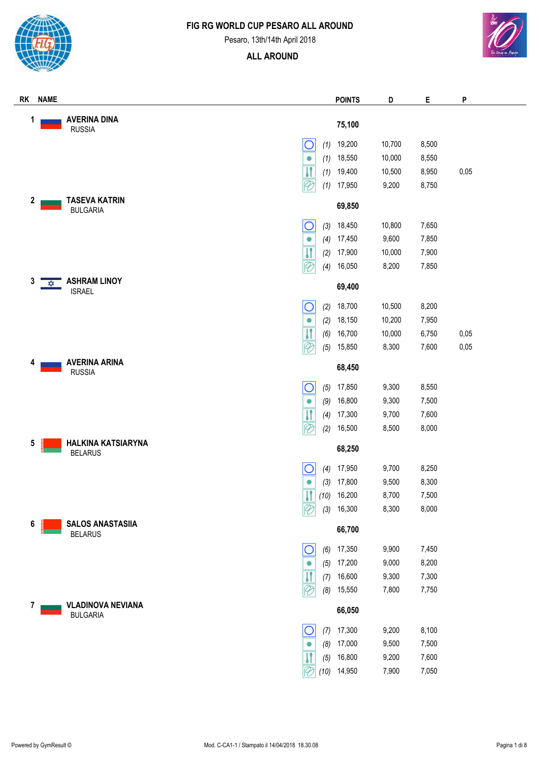



Pesaro, 13th/14th April 2018



| <b>NAME</b><br>RK                                |                    | <b>POINTS</b> | D      | Е     | P    |
|--------------------------------------------------|--------------------|---------------|--------|-------|------|
| <b>AVERINA DINA</b><br>1<br><b>RUSSIA</b>        |                    | 75,100        |        |       |      |
| O                                                | (1)                | 19,200        | 10,700 | 8,500 |      |
| $\bullet$                                        | (1)                | 18,550        | 10,000 | 8,550 |      |
| $\boldsymbol{\mathsf{H}}$                        | (1)                | 19,400        | 10,500 | 8,950 | 0,05 |
| $\overline{\mathscr{C}}$                         | (1)                | 17,950        | 9,200  | 8,750 |      |
| <b>TASEVA KATRIN</b><br>2<br><b>BULGARIA</b>     |                    | 69,850        |        |       |      |
| $\overline{\mathsf{O}}$                          | (3)                | 18,450        | 10,800 | 7,650 |      |
| $\bullet$                                        | (4)                | 17,450        | 9,600  | 7,850 |      |
| $\mathbf{\eta}$                                  | (2)                | 17,900        | 10,000 | 7,900 |      |
| $\overline{\mathscr{C}}$                         | (4)                | 16,050        | 8,200  | 7,850 |      |
| <b>ASHRAM LINOY</b><br>3<br>✿<br><b>ISRAEL</b>   |                    | 69,400        |        |       |      |
| $\bigcirc$                                       | (2)                | 18,700        | 10,500 | 8,200 |      |
| $\bullet$                                        | (2)                | 18,150        | 10,200 | 7,950 |      |
| $\boldsymbol{\mathsf{H}}$                        | (6)                | 16,700        | 10,000 | 6,750 | 0,05 |
| $\overline{\mathscr{C}}$                         | (5)                | 15,850        | 8,300  | 7,600 | 0,05 |
| <b>AVERINA ARINA</b><br>4<br><b>RUSSIA</b>       |                    | 68,450        |        |       |      |
| $\bigcirc$                                       | (5)                | 17,850        | 9,300  | 8,550 |      |
| $\bullet$                                        | (9)                | 16,800        | 9,300  | 7,500 |      |
| $\overline{\mathbf{H}}$                          | (4)                | 17,300        | 9,700  | 7,600 |      |
| $\mathcal{P}$                                    | (2)                | 16,500        | 8,500  | 8,000 |      |
| <b>HALKINA KATSIARYNA</b><br>5<br><b>BELARUS</b> |                    | 68,250        |        |       |      |
| С                                                | (4)                | 17,950        | 9,700  | 8,250 |      |
| $\bullet$                                        | (3)                | 17,800        | 9,500  | 8,300 |      |
|                                                  | $\boldsymbol{\Pi}$ | $(10)$ 16,200 | 8,700  | 7,500 |      |
| $\mathcal{P}$                                    | (3)                | 16,300        | 8,300  | 8,000 |      |
| <b>SALOS ANASTASIIA</b><br>6<br><b>BELARUS</b>   |                    | 66,700        |        |       |      |
| O                                                | (6)                | 17,350        | 9,900  | 7,450 |      |
| $\bullet$                                        | (5)                | 17,200        | 9,000  | 8,200 |      |
|                                                  | (7)                | 16,600        | 9,300  | 7,300 |      |
| $\overline{\mathscr{C}}$                         | (8)                | 15,550        | 7,800  | 7,750 |      |
| <b>VLADINOVA NEVIANA</b><br>7<br><b>BULGARIA</b> |                    | 66,050        |        |       |      |
| $\overline{O}$                                   | (7)                | 17,300        | 9,200  | 8,100 |      |
| $\bullet$                                        | (8)                | 17,000        | 9,500  | 7,500 |      |
| И                                                | (5)                | 16,800        | 9,200  | 7,600 |      |
| $\overline{\mathscr{C}}$                         | (10)               | 14,950        | 7,900  | 7,050 |      |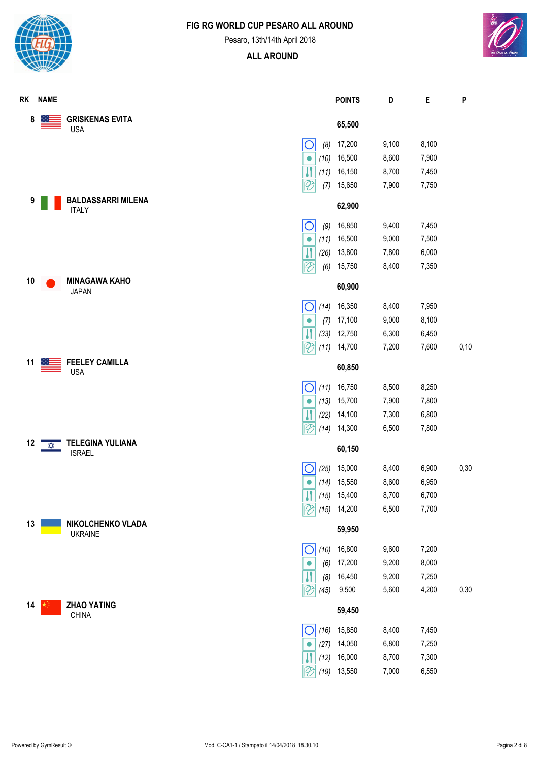

Pesaro, 13th/14th April 2018



| <b>NAME</b><br>RK                                               | <b>POINTS</b>           | D     | Е     | P    |
|-----------------------------------------------------------------|-------------------------|-------|-------|------|
| <b>GRISKENAS EVITA</b><br>8<br><b>USA</b>                       | 65,500                  |       |       |      |
| С<br>(8)                                                        | 17,200                  | 9,100 | 8,100 |      |
| (10)<br>$\bullet$                                               | 16,500                  | 8,600 | 7,900 |      |
| $\overline{\mathbf{I}}$<br>(11)                                 | 16,150                  | 8,700 | 7,450 |      |
| $\overline{\mathcal{C}}$<br>(7)                                 | 15,650                  | 7,900 | 7,750 |      |
| <b>BALDASSARRI MILENA</b><br>9<br><b>ITALY</b>                  | 62,900                  |       |       |      |
| O<br>(9)                                                        | 16,850                  | 9,400 | 7,450 |      |
| (11)<br>$\bullet$                                               | 16,500                  | 9,000 | 7,500 |      |
| $\overline{\mathbf{H}}$<br>(26)                                 | 13,800                  | 7,800 | 6,000 |      |
| $\overline{\mathcal{P}}$<br>(6)                                 | 15,750                  | 8,400 | 7,350 |      |
| <b>MINAGAWA KAHO</b><br>10<br><b>JAPAN</b>                      | 60,900                  |       |       |      |
| О<br>(14)                                                       | 16,350                  | 8,400 | 7,950 |      |
| (7)<br>$\bullet$                                                | 17,100                  | 9,000 | 8,100 |      |
| $\overline{\mathbf{H}}$<br>(33)                                 | 12,750                  | 6,300 | 6,450 |      |
| $\overline{\mathcal{C}}$<br>(11)                                | 14,700                  | 7,200 | 7,600 | 0,10 |
| <b>FEELEY CAMILLA</b><br>11<br><b>USA</b>                       | 60,850                  |       |       |      |
| (11)<br>O                                                       | 16,750                  | 8,500 | 8,250 |      |
| (13)<br>$\bullet$                                               | 15,700                  | 7,900 | 7,800 |      |
| $\overline{\mathbf{H}}$<br>(22)                                 | 14,100                  | 7,300 | 6,800 |      |
| $\lvert \mathscr{C} \rvert$<br>(14)                             | 14,300                  | 6,500 | 7,800 |      |
| <b>TELEGINA YULIANA</b><br>12<br>$\frac{1}{2}$<br><b>ISRAEL</b> | 60,150                  |       |       |      |
| (25)<br>U                                                       | 15,000                  | 8,400 | 6,900 | 0,30 |
| (14)<br>$\bullet$                                               | 15,550                  | 8,600 | 6,950 |      |
|                                                                 | $\boxed{1}$ (15) 15,400 | 8,700 | 6,700 |      |
| $\lvert \mathcal{C} \rvert$<br>(15)                             | 14,200                  | 6,500 | 7,700 |      |
| NIKOLCHENKO VLADA<br>13<br><b>UKRAINE</b>                       | 59,950                  |       |       |      |
| $\bigcirc$<br>(10)                                              | 16,800                  | 9,600 | 7,200 |      |
| (6)<br>$\bullet$                                                | 17,200                  | 9,200 | 8,000 |      |
| (8)                                                             | 16,450                  | 9,200 | 7,250 |      |
| $\overline{\mathscr{C}}$<br>(45)                                | 9,500                   | 5,600 | 4,200 | 0,30 |
| <b>ZHAO YATING</b><br>14<br><b>CHINA</b>                        | 59,450                  |       |       |      |
| С<br>(16)                                                       | 15,850                  | 8,400 | 7,450 |      |
| (27)<br>$\bullet$                                               | 14,050                  | 6,800 | 7,250 |      |
| (12)                                                            | 16,000                  | 8,700 | 7,300 |      |
| $\overline{\mathscr{C}}$<br>(19)                                | 13,550                  | 7,000 | 6,550 |      |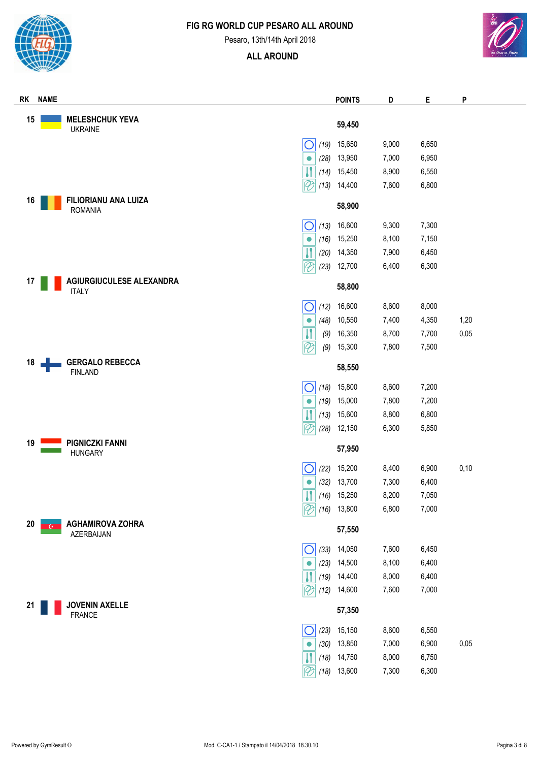

Pesaro, 13th/14th April 2018



| RK | <b>NAME</b> |                                               |                                          | <b>POINTS</b>    | D              | Е              | P    |
|----|-------------|-----------------------------------------------|------------------------------------------|------------------|----------------|----------------|------|
| 15 |             | <b>MELESHCHUK YEVA</b>                        |                                          |                  |                |                |      |
|    |             | <b>UKRAINE</b>                                |                                          | 59,450           |                |                |      |
|    |             |                                               | (19)<br>O                                | 15,650           | 9,000          | 6,650          |      |
|    |             |                                               | (28)<br>$\bullet$                        | 13,950           | 7,000          | 6,950          |      |
|    |             |                                               | (14)                                     | 15,450           | 8,900          | 6,550          |      |
|    |             |                                               | $\overline{\mathscr{C}}$<br>(13)         | 14,400           | 7,600          | 6,800          |      |
| 16 |             | <b>FILIORIANU ANA LUIZA</b><br><b>ROMANIA</b> |                                          | 58,900           |                |                |      |
|    |             |                                               | О<br>(13)                                | 16,600           | 9,300          | 7,300          |      |
|    |             |                                               | (16)<br>$\bullet$                        | 15,250           | 8,100          | 7,150          |      |
|    |             |                                               | IJ                                       | 14,350           | 7,900          | 6,450          |      |
|    |             | $\overline{\mathscr{C}}$                      | (20)<br>(23)                             | 12,700           | 6,400          | 6,300          |      |
| 17 |             | AGIURGIUCULESE ALEXANDRA                      |                                          |                  |                |                |      |
|    |             | <b>ITALY</b>                                  |                                          | 58,800           |                |                |      |
|    |             |                                               | O<br>(12)                                | 16,600           | 8,600          | 8,000          |      |
|    |             |                                               | (48)<br>$\bullet$                        | 10,550           | 7,400          | 4,350          | 1,20 |
|    |             |                                               | $\boldsymbol{\mathsf{H}}$<br>(9)         | 16,350           | 8,700          | 7,700          | 0,05 |
|    |             |                                               | $\overline{\mathcal{C}}$<br>(9)          | 15,300           | 7,800          | 7,500          |      |
| 18 |             | <b>GERGALO REBECCA</b><br><b>FINLAND</b>      |                                          | 58,550           |                |                |      |
|    |             |                                               |                                          | 15,800           | 8,600          | 7,200          |      |
|    |             |                                               | $\bigcirc$<br>(18)<br>(19)<br>$\bullet$  | 15,000           | 7,800          | 7,200          |      |
|    |             |                                               | $\mathbf{\mathsf{I}}$<br>(13)            | 15,600           | 8,800          | 6,800          |      |
|    |             |                                               | $\overline{\mathscr{C}}$<br>(28)         | 12,150           | 6,300          | 5,850          |      |
| 19 |             | <b>PIGNICZKI FANNI</b>                        |                                          |                  |                |                |      |
|    |             | <b>HUNGARY</b>                                |                                          | 57,950           |                |                |      |
|    |             |                                               | О<br>(22)                                | 15,200           | 8,400          | 6,900          | 0,10 |
|    |             |                                               | (32)<br>$\bullet$                        | 13,700           | 7,300          | 6,400          |      |
|    |             |                                               | $\boxed{1}$ (16) 15,250                  |                  | 8,200          | 7,050          |      |
|    |             |                                               | $\overline{\vartheta}$<br>(16)           | 13,800           | 6,800          | 7,000          |      |
| 20 |             | <b>AGHAMIROVA ZOHRA</b>                       |                                          | 57,550           |                |                |      |
|    |             |                                               |                                          |                  |                |                |      |
|    |             | AZERBAIJAN                                    |                                          |                  |                |                |      |
|    |             |                                               | $\bigcirc$<br>(33)<br>$\bullet$          | 14,050           | 7,600          | 6,450          |      |
|    |             |                                               | (23)                                     | 14,500           | 8,100          | 6,400          |      |
|    |             |                                               | (19)<br>$\overline{\mathscr{C}}$<br>(12) | 14,400<br>14,600 | 8,000<br>7,600 | 6,400<br>7,000 |      |
| 21 |             | <b>JOVENIN AXELLE</b>                         |                                          | 57,350           |                |                |      |
|    |             | <b>FRANCE</b>                                 |                                          |                  |                |                |      |
|    |             |                                               | O<br>(23)<br>0                           | 15,150           | 8,600          | 6,550          |      |
|    |             |                                               | (30)<br>(18)                             | 13,850<br>14,750 | 7,000<br>8,000 | 6,900<br>6,750 | 0,05 |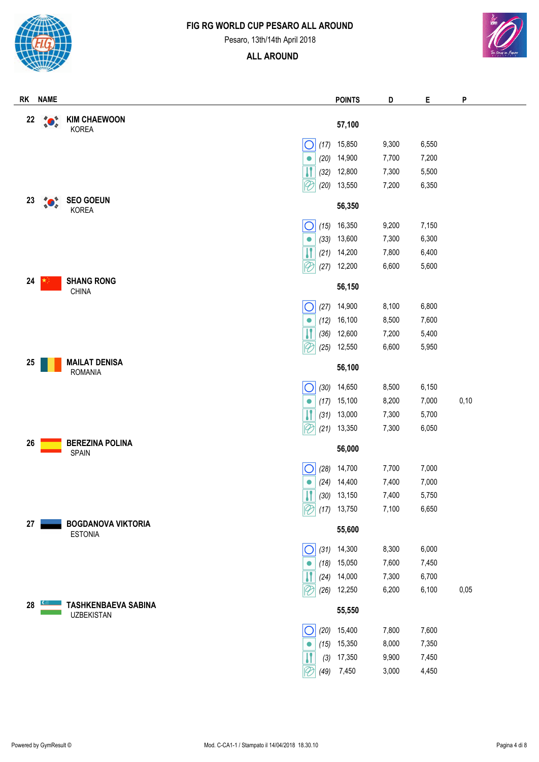



#### Pesaro, 13th/14th April 2018



| <b>RK</b> | <b>NAME</b> |                                                 |      | <b>POINTS</b> | D     | Е     | P    |
|-----------|-------------|-------------------------------------------------|------|---------------|-------|-------|------|
| 22        |             | <b>KIM CHAEWOON</b>                             |      | 57,100        |       |       |      |
|           |             | <b>KOREA</b>                                    |      |               |       |       |      |
|           |             | О                                               | (17) | 15,850        | 9,300 | 6,550 |      |
|           |             | $\bullet$                                       | (20) | 14,900        | 7,700 | 7,200 |      |
|           |             |                                                 | (32) | 12,800        | 7,300 | 5,500 |      |
|           |             | $\overline{\mathscr{C}}$                        | (20) | 13,550        | 7,200 | 6,350 |      |
| 23        |             | <b>SEO GOEUN</b><br>KOREA                       |      | 56,350        |       |       |      |
|           |             | С                                               | (15) | 16,350        | 9,200 | 7,150 |      |
|           |             | $\bullet$                                       | (33) | 13,600        | 7,300 | 6,300 |      |
|           |             | $\overline{\mathbf{H}}$                         | (21) | 14,200        | 7,800 | 6,400 |      |
|           |             | $\mathcal{P}$                                   | (27) | 12,200        | 6,600 | 5,600 |      |
| 24        |             | <b>SHANG RONG</b><br>CHINA                      |      | 56,150        |       |       |      |
|           |             | С                                               | (27) | 14,900        | 8,100 | 6,800 |      |
|           |             | $\bullet$                                       | (12) | 16,100        | 8,500 | 7,600 |      |
|           |             |                                                 | (36) | 12,600        | 7,200 | 5,400 |      |
|           |             |                                                 | (25) | 12,550        | 6,600 | 5,950 |      |
| 25        |             | <b>MAILAT DENISA</b><br><b>ROMANIA</b>          |      | 56,100        |       |       |      |
|           |             | U                                               | (30) | 14,650        | 8,500 | 6,150 |      |
|           |             | $\bullet$                                       | (17) | 15,100        | 8,200 | 7,000 | 0,10 |
|           |             |                                                 | (31) | 13,000        | 7,300 | 5,700 |      |
|           |             | $ \mathscr{C}$                                  | (21) | 13,350        | 7,300 | 6,050 |      |
| 26        |             | <b>BEREZINA POLINA</b>                          |      |               |       |       |      |
|           |             | SPAIN                                           |      | 56,000        |       |       |      |
|           |             |                                                 | (28) | 14,700        | 7,700 | 7,000 |      |
|           |             | $\bullet$                                       | (24) | 14,400        | 7,400 | 7,000 |      |
|           |             | $\boxed{\textcolor{blue}{\textbf{I}}}$          |      | $(30)$ 13,150 | 7,400 | 5,750 |      |
|           |             | $\lvert \mathcal{C} \rvert$                     | (17) | 13,750        | 7,100 | 6,650 |      |
| 27        |             | <b>BOGDANOVA VIKTORIA</b><br><b>ESTONIA</b>     |      | 55,600        |       |       |      |
|           |             |                                                 | (31) | 14,300        | 8,300 | 6,000 |      |
|           |             | $\bullet$                                       | (18) | 15,050        | 7,600 | 7,450 |      |
|           |             |                                                 | (24) | 14,000        | 7,300 | 6,700 |      |
|           |             |                                                 | (26) | 12,250        | 6,200 | 6,100 | 0,05 |
| 28        |             | <b>TASHKENBAEVA SABINA</b><br><b>UZBEKISTAN</b> |      | 55,550        |       |       |      |
|           |             |                                                 | (20) | 15,400        | 7,800 | 7,600 |      |
|           |             | $\bullet$                                       | (15) | 15,350        | 8,000 | 7,350 |      |
|           |             |                                                 | (3)  | 17,350        | 9,900 | 7,450 |      |
|           |             | $\widehat{Z}$                                   | (49) | 7,450         | 3,000 | 4,450 |      |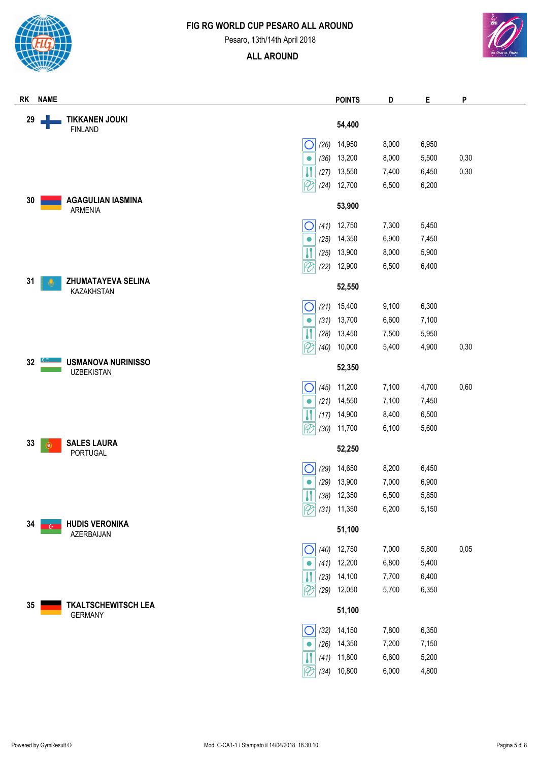

Pesaro, 13th/14th April 2018



| RK | <b>NAME</b> |                                                |      | <b>POINTS</b>        | D     | Е     | P    |
|----|-------------|------------------------------------------------|------|----------------------|-------|-------|------|
| 29 |             | <b>TIKKANEN JOUKI</b><br><b>FINLAND</b>        |      | 54,400               |       |       |      |
|    |             | O                                              | (26) | 14,950               | 8,000 | 6,950 |      |
|    |             | $\bullet$                                      | (36) | 13,200               | 8,000 | 5,500 | 0,30 |
|    |             |                                                | (27) | 13,550               | 7,400 | 6,450 | 0,30 |
|    |             | $ \mathscr{C}$                                 | (24) | 12,700               | 6,500 | 6,200 |      |
| 30 |             | <b>AGAGULIAN IASMINA</b><br><b>ARMENIA</b>     |      | 53,900               |       |       |      |
|    |             | O                                              | (41) | 12,750               | 7,300 | 5,450 |      |
|    |             | $\bullet$                                      | (25) | 14,350               | 6,900 | 7,450 |      |
|    |             |                                                | (25) | 13,900               | 8,000 | 5,900 |      |
|    |             | $\overline{\vartheta}$                         | (22) | 12,900               | 6,500 | 6,400 |      |
| 31 |             | <b>ZHUMATAYEVA SELINA</b><br>KAZAKHSTAN        |      | 52,550               |       |       |      |
|    |             | $\bigcirc$                                     | (21) | 15,400               | 9,100 | 6,300 |      |
|    |             | $\bullet$                                      | (31) | 13,700               | 6,600 | 7,100 |      |
|    |             |                                                | (28) | 13,450               | 7,500 | 5,950 |      |
|    |             | $\mathcal{P}$                                  | (40) | 10,000               | 5,400 | 4,900 | 0,30 |
| 32 |             | <b>USMANOVA NURINISSO</b><br><b>UZBEKISTAN</b> |      | 52,350               |       |       |      |
|    |             | O                                              | (45) | 11,200               | 7,100 | 4,700 | 0,60 |
|    |             | $\bullet$                                      | (21) | 14,550               | 7,100 | 7,450 |      |
|    |             |                                                | (17) | 14,900               | 8,400 | 6,500 |      |
|    |             | $ \mathscr{C}$                                 | (30) | 11,700               | 6,100 | 5,600 |      |
| 33 | O           | <b>SALES LAURA</b><br>PORTUGAL                 |      | 52,250               |       |       |      |
|    |             | С                                              | (29) | 14,650               | 8,200 | 6,450 |      |
|    |             | $\bullet$                                      | (29) | 13,900               | 7,000 | 6,900 |      |
|    |             |                                                |      | $\sqrt{(38)}$ 12,350 | 6,500 | 5,850 |      |
|    |             | $\mathcal{P}$                                  |      | $(31)$ 11,350        | 6,200 | 5,150 |      |
| 34 |             | <b>HUDIS VERONIKA</b><br>AZERBAIJAN            |      | 51,100               |       |       |      |
|    |             | O                                              | (40) | 12,750               | 7,000 | 5,800 | 0,05 |
|    |             | $\bullet$                                      | (41) | 12,200               | 6,800 | 5,400 |      |
|    |             |                                                | (23) | 14,100               | 7,700 | 6,400 |      |
|    |             | $\overline{\vartheta}$                         | (29) | 12,050               | 5,700 | 6,350 |      |
| 35 |             | <b>TKALTSCHEWITSCH LEA</b><br><b>GERMANY</b>   |      | 51,100               |       |       |      |
|    |             | O                                              | (32) | 14,150               | 7,800 | 6,350 |      |
|    |             | $\bullet$                                      | (26) | 14,350               | 7,200 | 7,150 |      |
|    |             |                                                | (41) | 11,800               | 6,600 | 5,200 |      |
|    |             |                                                | (34) | 10,800               | 6,000 | 4,800 |      |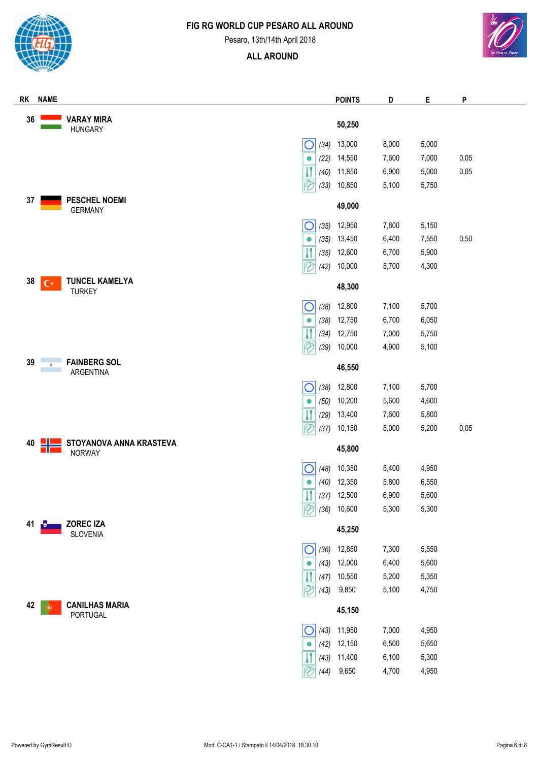



Pesaro, 13th/14th April 2018



| RK | <b>NAME</b>       |                                          |                                  | <b>POINTS</b> | D     | Е     | P    |
|----|-------------------|------------------------------------------|----------------------------------|---------------|-------|-------|------|
| 36 |                   | <b>VARAY MIRA</b><br><b>HUNGARY</b>      |                                  | 50,250        |       |       |      |
|    |                   |                                          | (34)<br>O                        | 13,000        | 8,000 | 5,000 |      |
|    |                   |                                          | (22)<br>$\bullet$                | 14,550        | 7,600 | 7,000 | 0,05 |
|    |                   |                                          | וו<br>(40)                       | 11,850        | 6,900 | 5,000 | 0,05 |
|    |                   |                                          | $\overline{\mathscr{C}}$<br>(33) | 10,850        | 5,100 | 5,750 |      |
| 37 |                   | <b>PESCHEL NOEMI</b><br><b>GERMANY</b>   |                                  | 49,000        |       |       |      |
|    |                   |                                          | $\bigcirc$<br>(35)               | 12,950        | 7,800 | 5,150 |      |
|    |                   |                                          | (35)<br>$\bullet$                | 13,450        | 6,400 | 7,550 | 0,50 |
|    |                   |                                          | (35)                             | 12,600        | 6,700 | 5,900 |      |
|    |                   |                                          | $\mathscr{P}$<br>(42)            | 10,000        | 5,700 | 4,300 |      |
| 38 | $\mathsf{C}\star$ | <b>TUNCEL KAMELYA</b><br><b>TURKEY</b>   |                                  | 48,300        |       |       |      |
|    |                   |                                          | $\bigcirc$                       | $(38)$ 12,800 | 7,100 | 5,700 |      |
|    |                   |                                          | (38)<br>$\bullet$                | 12,750        | 6,700 | 6,050 |      |
|    |                   |                                          | W<br>(34)                        | 12,750        | 7,000 | 5,750 |      |
|    |                   |                                          | $\overline{\mathscr{C}}$<br>(39) | 10,000        | 4,900 | 5,100 |      |
| 39 | $\circledcirc$    | <b>FAINBERG SOL</b><br>ARGENTINA         |                                  | 46,550        |       |       |      |
|    |                   |                                          | $\bigcirc$<br>(38)               | 12,800        | 7,100 | 5,700 |      |
|    |                   |                                          | (50)<br>$\bullet$                | 10,200        | 5,600 | 4,600 |      |
|    |                   |                                          | W<br>(29)                        | 13,400        | 7,600 | 5,800 |      |
|    |                   |                                          | $\overline{\mathscr{C}}$<br>(37) | 10,150        | 5,000 | 5,200 | 0,05 |
| 40 |                   | STOYANOVA ANNA KRASTEVA<br><b>NORWAY</b> |                                  | 45,800        |       |       |      |
|    |                   |                                          | (48)                             | 10,350        | 5,400 | 4,950 |      |
|    |                   |                                          | (40)<br>$\bullet$                | 12,350        | 5,800 | 6,550 |      |
|    |                   |                                          | $\overline{\mathbf{H}}$          | $(37)$ 12,500 | 6,900 | 5,600 |      |
|    |                   |                                          | $\mathcal{\not\!\! D}$<br>(36)   | 10,600        | 5,300 | 5,300 |      |
| 41 |                   | ZOREC IZA<br>SLOVENIA                    |                                  | 45,250        |       |       |      |
|    |                   |                                          | $\bigcirc$<br>(36)               | 12,850        | 7,300 | 5,550 |      |
|    |                   |                                          | (43)<br>$\bullet$                | 12,000        | 6,400 | 5,600 |      |
|    |                   |                                          | И<br>(47)                        | 10,550        | 5,200 | 5,350 |      |
|    |                   |                                          | $\overline{\mathscr{C}}$<br>(43) | 9,850         | 5,100 | 4,750 |      |
| 42 | ¢                 | <b>CANILHAS MARIA</b><br>PORTUGAL        |                                  | 45,150        |       |       |      |
|    |                   |                                          | (43)<br>O                        | 11,950        | 7,000 | 4,950 |      |
|    |                   |                                          | (42)<br>$\bullet$                | 12,150        | 6,500 | 5,650 |      |
|    |                   |                                          | (43)                             | 11,400        | 6,100 | 5,300 |      |
|    |                   |                                          | (44)                             | 9,650         | 4,700 | 4,950 |      |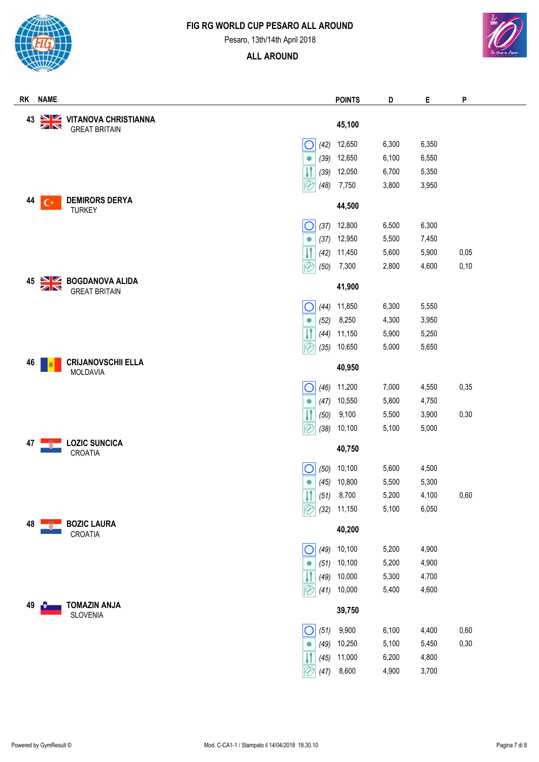

Pesaro, 13th/14th April 2018



| RK | <b>NAME</b>     |                                                     | <b>POINTS</b> | D     | Е     | P    |  |
|----|-----------------|-----------------------------------------------------|---------------|-------|-------|------|--|
| 43 | <b>NK</b>       | <b>VITANOVA CHRISTIANNA</b><br><b>GREAT BRITAIN</b> | 45,100        |       |       |      |  |
|    |                 | (42)<br>O                                           | 12,650        | 6,300 | 6,350 |      |  |
|    |                 | (39)<br>$\bullet$                                   | 12,650        | 6,100 | 6,550 |      |  |
|    |                 | $\mathbf{H}$<br>(39)                                | 12,050        | 6,700 | 5,350 |      |  |
|    |                 | $\overline{\mathscr{C}}$<br>(48)                    | 7,750         | 3,800 | 3,950 |      |  |
| 44 | $\Gamma^*$      | <b>DEMIRORS DERYA</b><br><b>TURKEY</b>              | 44,500        |       |       |      |  |
|    |                 | $\bigcirc$<br>(37)                                  | 12,800        | 6,500 | 6,300 |      |  |
|    |                 | (37)<br>$\bullet$                                   | 12,950        | 5,500 | 7,450 |      |  |
|    |                 | $\mathsf{l}$<br>(42)                                | 11,450        | 5,600 | 5,900 | 0,05 |  |
|    |                 | $\lvert \mathcal{C} \rvert$<br>(50)                 | 7,300         | 2,800 | 4,600 | 0,10 |  |
| 45 | <u>NZ</u><br>ZN | <b>BOGDANOVA ALIDA</b><br><b>GREAT BRITAIN</b>      | 41,900        |       |       |      |  |
|    |                 | С<br>(44)                                           | 11,850        | 6,300 | 5,550 |      |  |
|    |                 | (52)<br>$\bullet$                                   | 8,250         | 4,300 | 3,950 |      |  |
|    |                 | W<br>(44)                                           | 11,150        | 5,900 | 5,250 |      |  |
|    |                 | $\overline{\varphi}$<br>(35)                        | 10,650        | 5,000 | 5,650 |      |  |
| 46 |                 | <b>CRIJANOVSCHII ELLA</b><br>MOLDAVIA               | 40,950        |       |       |      |  |
|    |                 | С<br>(46)                                           | 11,200        | 7,000 | 4,550 | 0,35 |  |
|    |                 | (47)<br>$\bullet$                                   | 10,550        | 5,800 | 4,750 |      |  |
|    |                 | $\overline{\mathbf{H}}$<br>(50)                     | 9,100         | 5,500 | 3,900 | 0,30 |  |
|    |                 | $\overline{\mathcal{C}}$<br>(38)                    | 10,100        | 5,100 | 5,000 |      |  |
| 47 |                 | <b>LOZIC SUNCICA</b><br>CROATIA                     | 40,750        |       |       |      |  |
|    |                 | (50)                                                | 10,100        | 5,600 | 4,500 |      |  |
|    |                 | (45)<br>$\bullet$                                   | 10,800        | 5,500 | 5,300 |      |  |
|    |                 | $\boxed{1}$ (51) 8,700                              |               | 5,200 | 4,100 | 0,60 |  |
|    |                 | $ \mathcal{D}$<br>(32)                              | 11,150        | 5,100 | 6,050 |      |  |
| 48 |                 | <b>BOZIC LAURA</b><br>CROATIA                       | 40,200        |       |       |      |  |
|    |                 | (49)<br>Ő                                           | 10,100        | 5,200 | 4,900 |      |  |
|    |                 | (51)<br>$\bullet$                                   | 10,100        | 5,200 | 4,900 |      |  |
|    |                 | (49)                                                | 10,000        | 5,300 | 4,700 |      |  |
|    |                 | $\overline{\vartheta}$<br>(41)                      | 10,000        | 5,400 | 4,600 |      |  |
| 49 | ¦.              | <b>TOMAZIN ANJA</b><br><b>SLOVENIA</b>              | 39,750        |       |       |      |  |
|    |                 | $\bigcirc$<br>(51)                                  | 9,900         | 6,100 | 4,400 | 0,60 |  |
|    |                 | (49)<br>$\bullet$                                   | 10,250        | 5,100 | 5,450 | 0,30 |  |
|    |                 | (45)                                                | 11,000        | 6,200 | 4,800 |      |  |
|    |                 | $\overline{\mathscr{C}}$<br>(47)                    | 8,600         | 4,900 | 3,700 |      |  |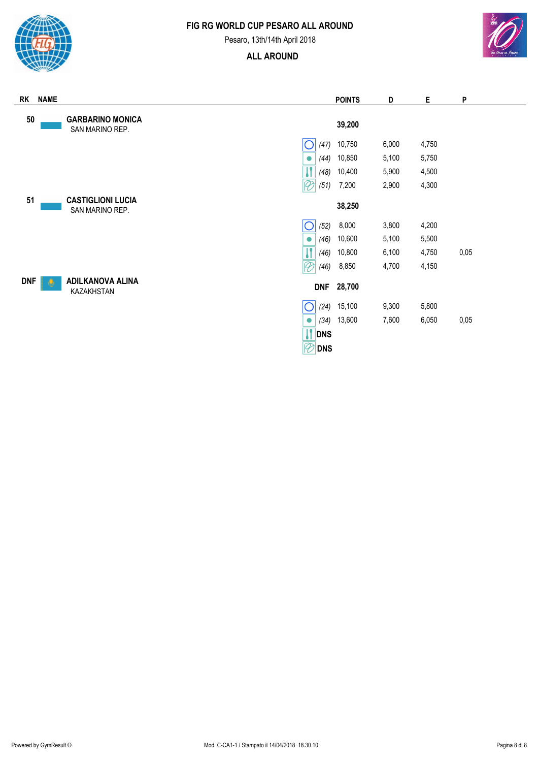

Pesaro, 13th/14th April 2018

# **ALL AROUND**



| RK         | <b>NAME</b>                                 | <b>POINTS</b>                             | D     | Е     | P    |  |
|------------|---------------------------------------------|-------------------------------------------|-------|-------|------|--|
| 50         | <b>GARBARINO MONICA</b><br>SAN MARINO REP.  | 39,200                                    |       |       |      |  |
|            |                                             | 10,750<br>(47)                            | 6,000 | 4,750 |      |  |
|            |                                             | 10,850<br>(44)<br>$\bullet$               | 5,100 | 5,750 |      |  |
|            |                                             | 10,400<br>(48)                            | 5,900 | 4,500 |      |  |
|            |                                             | $\mathcal{P}$<br>7,200<br>(51)            | 2,900 | 4,300 |      |  |
| 51         | <b>CASTIGLIONI LUCIA</b><br>SAN MARINO REP. | 38,250                                    |       |       |      |  |
|            |                                             | (52)<br>8,000<br>Ő                        | 3,800 | 4,200 |      |  |
|            |                                             | 10,600<br>(46)<br>$\bullet$               | 5,100 | 5,500 |      |  |
|            |                                             | (46)<br>10,800                            | 6,100 | 4,750 | 0,05 |  |
|            |                                             | $\overline{\mathscr{C}}$<br>8,850<br>(46) | 4,700 | 4,150 |      |  |
| <b>DNF</b> | <b>ADILKANOVA ALINA</b><br>KAZAKHSTAN       | 28,700<br><b>DNF</b>                      |       |       |      |  |
|            |                                             | (24)<br>15,100                            | 9,300 | 5,800 |      |  |
|            |                                             | 13,600<br>(34)<br>●                       | 7,600 | 6,050 | 0,05 |  |
|            |                                             | <b>IT DNS</b>                             |       |       |      |  |

**DNS**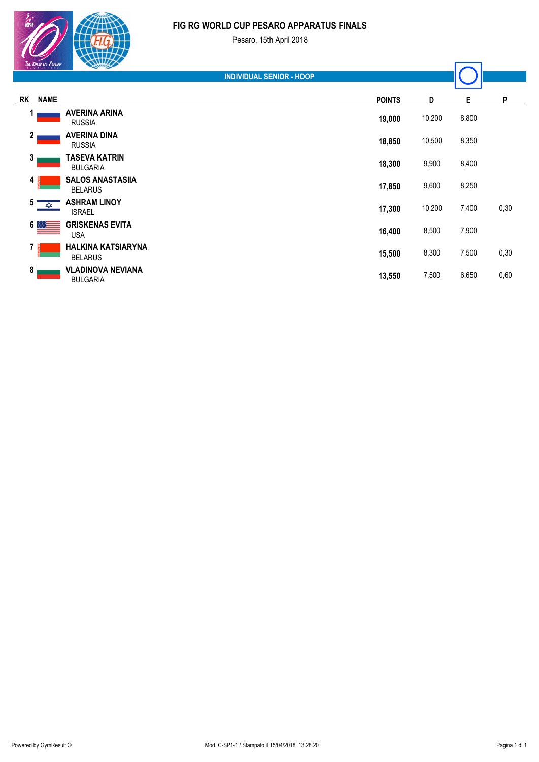#### **FIG RG WORLD CUP PESARO APPARATUS FINALS**

| P                                                                    |
|----------------------------------------------------------------------|
|                                                                      |
|                                                                      |
|                                                                      |
|                                                                      |
| 0,30                                                                 |
|                                                                      |
| 0,30                                                                 |
| 0,60                                                                 |
| 8,800<br>8,350<br>8,400<br>8,250<br>7,400<br>7,900<br>7,500<br>6,650 |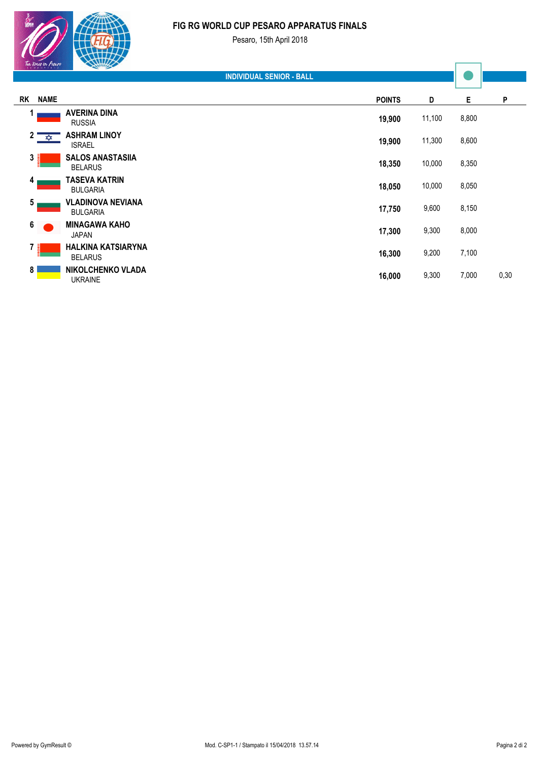#### **FIG RG WORLD CUP PESARO APPARATUS FINALS** Pesaro, 15th April 2018

**RK NAME POINTS D E P INDIVIDUAL SENIOR - BALL 19,900** 11,100 8,800 **<sup>1</sup> AVERINA DINA** RUSSIA  **19,900** 11,300 8,600 **<sup>2</sup> ASHRAM LINOY** ISRAEL  **18,350** 10,000 8,350 **<sup>3</sup> SALOS ANASTASIIA** BELARUS  **18,050** 10,000 8,050 **<sup>4</sup> TASEVA KATRIN** BULGARIA  **17,750** 9,600 8,150 **<sup>5</sup> VLADINOVA NEVIANA** BULGARIA

| <b>MINAGAWA KAHO</b><br>JAPAN        | 17.300 | 9,300 | 8,000 |      |
|--------------------------------------|--------|-------|-------|------|
| HALKINA KATSIARYNA<br><b>BELARUS</b> | 16.300 | 9,200 | 7,100 |      |
| NIKOLCHENKO VLADA<br><b>UKRAINE</b>  | 16,000 | 9,300 | 7,000 | 0,30 |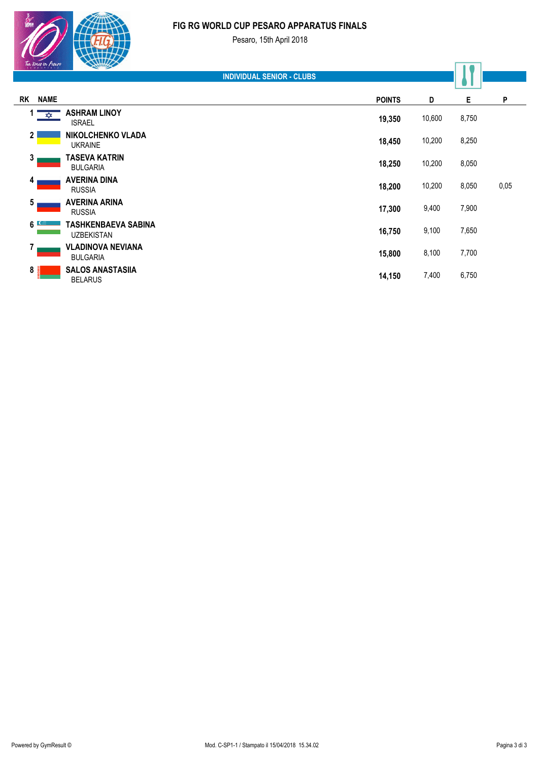#### **FIG RG WORLD CUP PESARO APPARATUS FINALS**

 $\frac{1}{\sqrt{\ln \lim_{t\to\infty} \ln t}}$ 

|                | Ten times in Pesaro | <b>Company of the Company of the Company of the Company of the Company of the Company of the Company of the Company of the Company of the Company of the Company of the Company of the Company of the Company of the Company of </b> |                                  |               |        |       |      |
|----------------|---------------------|--------------------------------------------------------------------------------------------------------------------------------------------------------------------------------------------------------------------------------------|----------------------------------|---------------|--------|-------|------|
|                |                     |                                                                                                                                                                                                                                      | <b>INDIVIDUAL SENIOR - CLUBS</b> |               |        |       |      |
| <b>RK</b>      | <b>NAME</b>         |                                                                                                                                                                                                                                      |                                  | <b>POINTS</b> | D      | Е     | P    |
|                | $\frac{1}{2}$       | <b>ASHRAM LINOY</b><br><b>ISRAEL</b>                                                                                                                                                                                                 |                                  | 19,350        | 10,600 | 8,750 |      |
| $\mathbf{2}$   |                     | <b>NIKOLCHENKO VLADA</b><br><b>UKRAINE</b>                                                                                                                                                                                           |                                  | 18,450        | 10,200 | 8,250 |      |
| 3              |                     | TASEVA KATRIN<br><b>BULGARIA</b>                                                                                                                                                                                                     |                                  | 18,250        | 10,200 | 8,050 |      |
| 4              |                     | <b>AVERINA DINA</b><br><b>RUSSIA</b>                                                                                                                                                                                                 |                                  | 18,200        | 10,200 | 8,050 | 0,05 |
| 5              |                     | <b>AVERINA ARINA</b><br><b>RUSSIA</b>                                                                                                                                                                                                |                                  | 17,300        | 9,400  | 7,900 |      |
| 6              |                     | TASHKENBAEVA SABINA<br><b>UZBEKISTAN</b>                                                                                                                                                                                             |                                  | 16,750        | 9,100  | 7,650 |      |
| 7              |                     | <b>VLADINOVA NEVIANA</b><br><b>BULGARIA</b>                                                                                                                                                                                          |                                  | 15,800        | 8,100  | 7,700 |      |
| 8 <sub>0</sub> |                     | <b>SALOS ANASTASIIA</b><br><b>BELARUS</b>                                                                                                                                                                                            |                                  | 14,150        | 7,400  | 6,750 |      |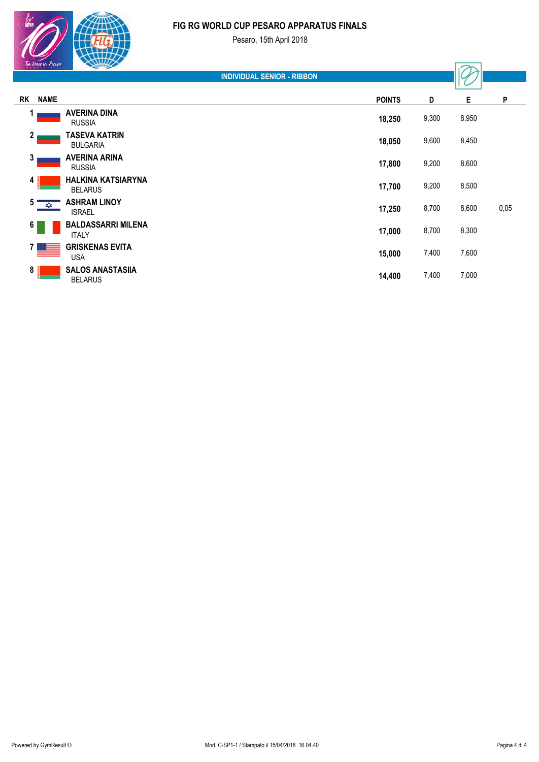#### **FIG RG WORLD CUP PESARO APPARATUS FINALS**

| Ton times in Pesare |  |
|---------------------|--|
|                     |  |

|                | $x \in \mathbb{R}$ can be a set of $\mathbb{R}$                                                                                                                                                                                                                                                                                                     | <b>Commercial Commercial Commercial</b>     |                                   |               |       |       |      |
|----------------|-----------------------------------------------------------------------------------------------------------------------------------------------------------------------------------------------------------------------------------------------------------------------------------------------------------------------------------------------------|---------------------------------------------|-----------------------------------|---------------|-------|-------|------|
|                |                                                                                                                                                                                                                                                                                                                                                     |                                             | <b>INDIVIDUAL SENIOR - RIBBON</b> |               |       |       |      |
| RK             | <b>NAME</b>                                                                                                                                                                                                                                                                                                                                         |                                             |                                   | <b>POINTS</b> | D     | E.    | P    |
|                |                                                                                                                                                                                                                                                                                                                                                     | <b>AVERINA DINA</b><br><b>RUSSIA</b>        |                                   | 18,250        | 9,300 | 8,950 |      |
| 2 <sub>1</sub> |                                                                                                                                                                                                                                                                                                                                                     | <b>TASEVA KATRIN</b><br><b>BULGARIA</b>     |                                   | 18,050        | 9,600 | 8,450 |      |
| 3              |                                                                                                                                                                                                                                                                                                                                                     | <b>AVERINA ARINA</b><br><b>RUSSIA</b>       |                                   | 17,800        | 9,200 | 8,600 |      |
| 4              |                                                                                                                                                                                                                                                                                                                                                     | <b>HALKINA KATSIARYNA</b><br><b>BELARUS</b> |                                   | 17,700        | 9,200 | 8,500 |      |
| $5^{\circ}$    | צ≵צ                                                                                                                                                                                                                                                                                                                                                 | <b>ASHRAM LINOY</b><br><b>ISRAEL</b>        |                                   | 17,250        | 8,700 | 8,600 | 0,05 |
| $6 \mid$       |                                                                                                                                                                                                                                                                                                                                                     | <b>BALDASSARRI MILENA</b><br><b>ITALY</b>   |                                   | 17,000        | 8,700 | 8,300 |      |
|                | $\begin{picture}(20,20) \put(0,0){\line(1,0){10}} \put(15,0){\line(1,0){10}} \put(15,0){\line(1,0){10}} \put(15,0){\line(1,0){10}} \put(15,0){\line(1,0){10}} \put(15,0){\line(1,0){10}} \put(15,0){\line(1,0){10}} \put(15,0){\line(1,0){10}} \put(15,0){\line(1,0){10}} \put(15,0){\line(1,0){10}} \put(15,0){\line(1,0){10}} \put(15,0){\line(1$ | <b>GRISKENAS EVITA</b><br><b>USA</b>        |                                   | 15,000        | 7,400 | 7,600 |      |
| $8\frac{3}{9}$ |                                                                                                                                                                                                                                                                                                                                                     | <b>SALOS ANASTASIIA</b><br><b>BELARUS</b>   |                                   | 14,400        | 7,400 | 7,000 |      |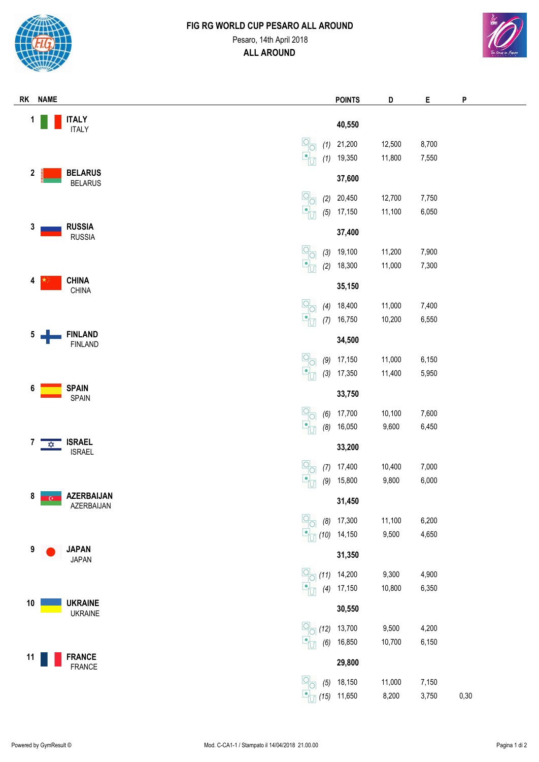

# **FIG RG WORLD CUP PESARO ALL AROUND** Pesaro, 14th April 2018 **ALL AROUND**



| RK<br><b>NAME</b>                               |                                                                                                                        | <b>POINTS</b>    | D               | Е              | P    |
|-------------------------------------------------|------------------------------------------------------------------------------------------------------------------------|------------------|-----------------|----------------|------|
| <b>ITALY</b><br>1                               |                                                                                                                        |                  |                 |                |      |
| <b>ITALY</b>                                    |                                                                                                                        | 40,550           |                 |                |      |
|                                                 | $\boxed{\underline{O}}_{\underline{O}}$<br>(1)                                                                         | 21,200           | 12,500          | 8,700          |      |
|                                                 | $\mathbf{P}_{\mathbf{U}}$<br>(1)                                                                                       | 19,350           | 11,800          | 7,550          |      |
| <b>BELARUS</b><br>$\mathbf 2$<br><b>BELARUS</b> |                                                                                                                        | 37,600           |                 |                |      |
|                                                 | $\frac{1}{\sqrt{2}}$<br>(2)                                                                                            | 20,450           | 12,700          | 7,750          |      |
|                                                 | $\frac{\blacksquare}{\blacksquare U}$<br>(5)                                                                           | 17,150           | 11,100          | 6,050          |      |
| <b>RUSSIA</b><br>3                              |                                                                                                                        |                  |                 |                |      |
| <b>RUSSIA</b>                                   |                                                                                                                        | 37,400           |                 |                |      |
|                                                 | $\overline{O}$<br>(3)                                                                                                  | 19,100           | 11,200          | 7,900          |      |
|                                                 | 무더<br>(2)                                                                                                              | 18,300           | 11,000          | 7,300          |      |
| <b>CHINA</b><br>4<br>CHINA                      |                                                                                                                        | 35,150           |                 |                |      |
|                                                 | $\begin{array}{c}\n\boxed{O} \\ \boxed{O}\n\end{array}$                                                                | 18,400           | 11,000          | 7,400          |      |
|                                                 | (4)<br>$\frac{\blacksquare}{\blacksquare}$<br>(7)                                                                      | 16,750           | 10,200          | 6,550          |      |
| <b>FINLAND</b><br>5                             |                                                                                                                        |                  |                 |                |      |
| <b>FINLAND</b>                                  |                                                                                                                        | 34,500           |                 |                |      |
|                                                 | $\frac{1}{\sqrt{2}}$<br>(9)                                                                                            | 17,150           | 11,000          | 6,150          |      |
|                                                 | $\overline{\mathbf{C}}_1$<br>(3)                                                                                       | 17,350           | 11,400          | 5,950          |      |
| <b>SPAIN</b><br>6                               |                                                                                                                        | 33,750           |                 |                |      |
| <b>SPAIN</b>                                    |                                                                                                                        |                  |                 |                |      |
|                                                 | $\begin{array}{c}\n\boxed{O} \\ \boxed{O}\n\end{array}$<br>(6)<br>$\overline{\mathbf{e}}_U$<br>(8)                     | 17,700<br>16,050 | 10,100<br>9,600 | 7,600<br>6,450 |      |
| <b>ISRAEL</b><br>7                              |                                                                                                                        |                  |                 |                |      |
| $\frac{1}{\sqrt{2}}$<br><b>ISRAEL</b>           |                                                                                                                        | 33,200           |                 |                |      |
|                                                 | $\begin{array}{c} \boxed{O} \\ \boxed{O} \end{array}$<br>(7)                                                           | 17,400           | 10,400          | 7,000          |      |
|                                                 | $  \bullet  $<br>(9)                                                                                                   | 15,800           | 9,800           | 6,000          |      |
| 8<br><b>AZERBAIJAN</b><br>$\mathbf{e}$          |                                                                                                                        | 31,450           |                 |                |      |
| AZERBAIJAN                                      |                                                                                                                        |                  |                 |                |      |
|                                                 | $\frac{1}{\sqrt{2}}$<br>(8)<br>$\blacksquare_{\text{U}}$<br>(10)                                                       | 17,300<br>14,150 | 11,100<br>9,500 | 6,200<br>4,650 |      |
| <b>JAPAN</b><br>9                               |                                                                                                                        |                  |                 |                |      |
| <b>JAPAN</b>                                    |                                                                                                                        | 31,350           |                 |                |      |
|                                                 | $\frac{1}{\sqrt{2}}$                                                                                                   | $(11)$ 14,200    | 9,300           | 4,900          |      |
|                                                 | $\Box$<br>(4)                                                                                                          | 17,150           | 10,800          | 6,350          |      |
| <b>UKRAINE</b><br>10                            |                                                                                                                        | 30,550           |                 |                |      |
| <b>UKRAINE</b>                                  |                                                                                                                        |                  |                 |                |      |
|                                                 | $\frac{1}{\sqrt{2}}$<br>(12)<br>$\begin{array}{c} \begin{array}{c} \hline \textbf{c} \end{array} \ \end{array}$<br>(6) | 13,700<br>16,850 | 9,500<br>10,700 | 4,200<br>6,150 |      |
| <b>FRANCE</b><br>11                             |                                                                                                                        |                  |                 |                |      |
| <b>FRANCE</b>                                   |                                                                                                                        | 29,800           |                 |                |      |
|                                                 | $\overline{O}$<br>(5)                                                                                                  | 18,150           | 11,000          | 7,150          |      |
|                                                 | $\mathbf{E}$<br>(15)                                                                                                   | 11,650           | 8,200           | 3,750          | 0,30 |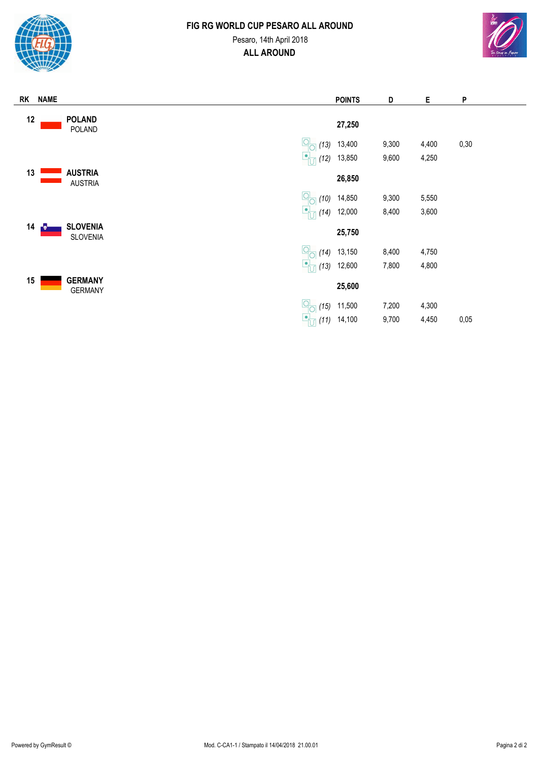

# **FIG RG WORLD CUP PESARO ALL AROUND ALL AROUND** Pesaro, 14th April 2018



| RK | <b>NAME</b> |                                         | <b>POINTS</b> | D     | Е     | P    |
|----|-------------|-----------------------------------------|---------------|-------|-------|------|
| 12 |             | <b>POLAND</b><br>POLAND                 | 27,250        |       |       |      |
|    |             | $\frac{1}{\sqrt{2}}$<br>(13)            | 13,400        | 9,300 | 4,400 | 0,30 |
|    |             | Ŀ<br>(12)                               | 13,850        | 9,600 | 4,250 |      |
| 13 |             | <b>AUSTRIA</b><br><b>AUSTRIA</b>        | 26,850        |       |       |      |
|    |             | 역o<br>(10)                              | 14,850        | 9,300 | 5,550 |      |
|    |             | ĿĻ<br>(14)                              | 12,000        | 8,400 | 3,600 |      |
| 14 | ┌♥          | <b>SLOVENIA</b><br><b>SLOVENIA</b>      | 25,750        |       |       |      |
|    |             | $\frac{1}{\sqrt{2}}$<br>(14)            | 13,150        | 8,400 | 4,750 |      |
|    |             | $\bullet$<br>(13)                       | 12,600        | 7,800 | 4,800 |      |
| 15 |             | <b>GERMANY</b><br><b>GERMANY</b>        | 25,600        |       |       |      |
|    |             | $\frac{\mathsf{Q}}{\mathsf{Q}}$<br>(15) | 11,500        | 7,200 | 4,300 |      |
|    |             | $\mathsf{L}$<br>(11)                    | 14,100        | 9,700 | 4,450 | 0,05 |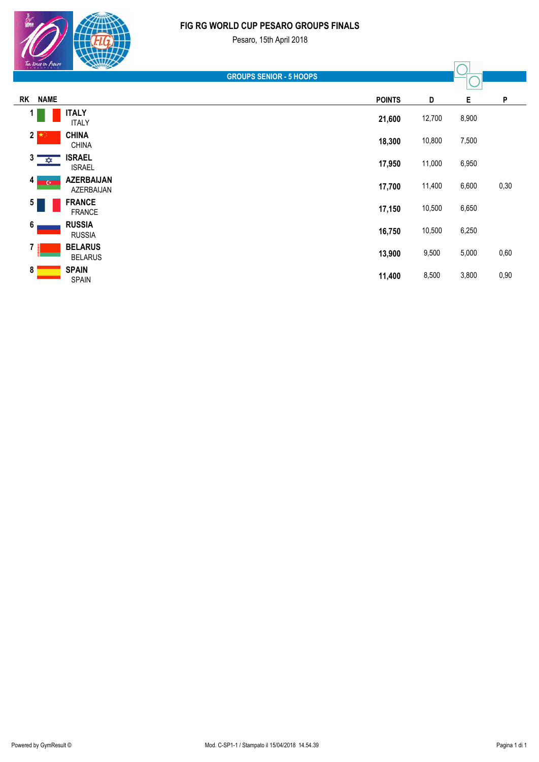#### **FIG RG WORLD CUP PESARO GROUPS FINALS**

 $\frac{1}{\sqrt{2}}$ 

| Ten times in Pesare          | <b>RAMINS</b>                    |               |        |       |      |
|------------------------------|----------------------------------|---------------|--------|-------|------|
|                              | <b>GROUPS SENIOR - 5 HOOPS</b>   |               |        |       |      |
| <b>NAME</b><br><b>RK</b>     |                                  | <b>POINTS</b> | D      | Е     | P    |
| 1                            | <b>ITALY</b><br><b>ITALY</b>     | 21,600        | 12,700 | 8,900 |      |
| $\mathbf{2}$                 | <b>CHINA</b><br><b>CHINA</b>     | 18,300        | 10,800 | 7,500 |      |
| $3^{\circ}$<br>$\frac{1}{2}$ | <b>ISRAEL</b><br><b>ISRAEL</b>   | 17,950        | 11,000 | 6,950 |      |
| 4<br>$\overline{C}$          | <b>AZERBAIJAN</b><br>AZERBAIJAN  | 17,700        | 11,400 | 6,600 | 0,30 |
| $5\phantom{.0}$              | <b>FRANCE</b><br><b>FRANCE</b>   | 17,150        | 10,500 | 6,650 |      |
| 6                            | <b>RUSSIA</b><br><b>RUSSIA</b>   | 16,750        | 10,500 | 6,250 |      |
| 7                            | <b>BELARUS</b><br><b>BELARUS</b> | 13,900        | 9,500  | 5,000 | 0,60 |
| 8                            | <b>SPAIN</b><br><b>SPAIN</b>     | 11,400        | 8,500  | 3,800 | 0,90 |